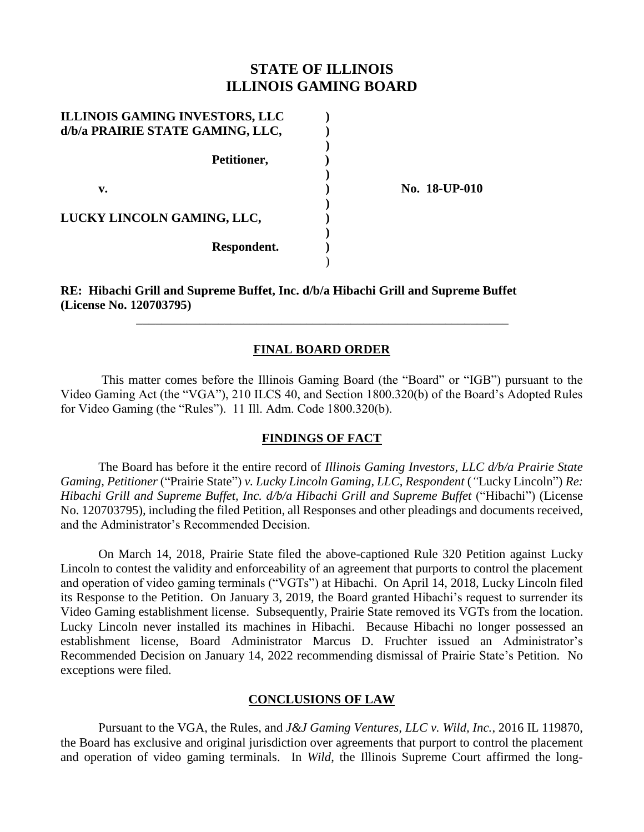# **STATE OF ILLINOIS ILLINOIS GAMING BOARD**

| <b>ILLINOIS GAMING INVESTORS, LLC</b><br>d/b/a PRAIRIE STATE GAMING, LLC, |  |
|---------------------------------------------------------------------------|--|
| Petitioner,                                                               |  |
| v.                                                                        |  |
| LUCKY LINCOLN GAMING, LLC,                                                |  |
| Respondent.                                                               |  |

**v. ) No. 18-UP-010**

### **RE: Hibachi Grill and Supreme Buffet, Inc. d/b/a Hibachi Grill and Supreme Buffet (License No. 120703795)**

## **FINAL BOARD ORDER**

\_\_\_\_\_\_\_\_\_\_\_\_\_\_\_\_\_\_\_\_\_\_\_\_\_\_\_\_\_\_\_\_\_\_\_\_\_\_\_\_\_\_\_\_\_\_\_\_\_\_\_\_\_\_\_\_\_\_\_

This matter comes before the Illinois Gaming Board (the "Board" or "IGB") pursuant to the Video Gaming Act (the "VGA"), 210 ILCS 40, and Section 1800.320(b) of the Board's Adopted Rules for Video Gaming (the "Rules"). 11 Ill. Adm. Code 1800.320(b).

### **FINDINGS OF FACT**

The Board has before it the entire record of *Illinois Gaming Investors, LLC d/b/a Prairie State Gaming, Petitioner* ("Prairie State") *v. Lucky Lincoln Gaming, LLC, Respondent* (*"*Lucky Lincoln") *Re: Hibachi Grill and Supreme Buffet, Inc. d/b/a Hibachi Grill and Supreme Buffet* ("Hibachi") (License No. 120703795)*,* including the filed Petition, all Responses and other pleadings and documents received, and the Administrator's Recommended Decision.

On March 14, 2018, Prairie State filed the above-captioned Rule 320 Petition against Lucky Lincoln to contest the validity and enforceability of an agreement that purports to control the placement and operation of video gaming terminals ("VGTs") at Hibachi. On April 14, 2018, Lucky Lincoln filed its Response to the Petition. On January 3, 2019, the Board granted Hibachi's request to surrender its Video Gaming establishment license. Subsequently, Prairie State removed its VGTs from the location. Lucky Lincoln never installed its machines in Hibachi. Because Hibachi no longer possessed an establishment license, Board Administrator Marcus D. Fruchter issued an Administrator's Recommended Decision on January 14, 2022 recommending dismissal of Prairie State's Petition. No exceptions were filed.

#### **CONCLUSIONS OF LAW**

Pursuant to the VGA, the Rules, and *J&J Gaming Ventures, LLC v. Wild, Inc.*, 2016 IL 119870, the Board has exclusive and original jurisdiction over agreements that purport to control the placement and operation of video gaming terminals. In *Wild*, the Illinois Supreme Court affirmed the long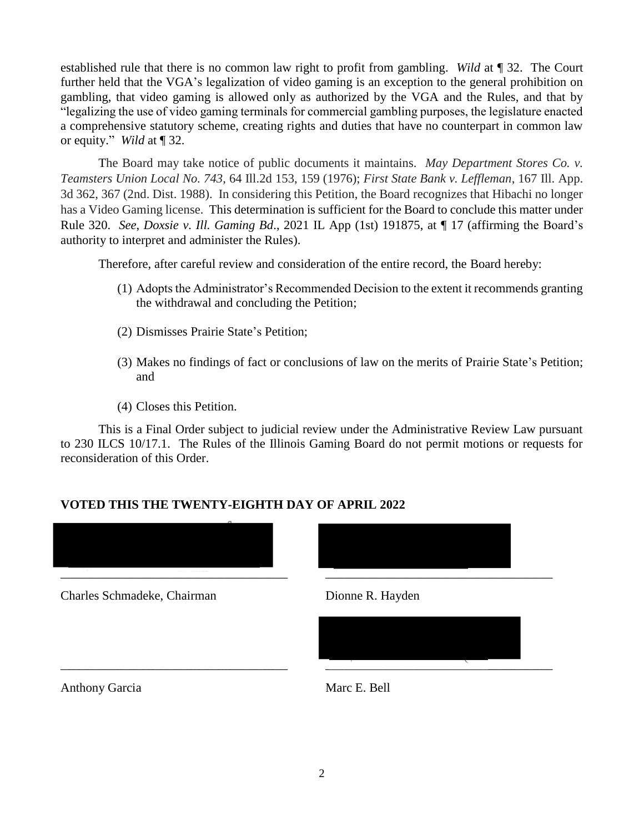established rule that there is no common law right to profit from gambling. *Wild* at ¶ 32. The Court further held that the VGA's legalization of video gaming is an exception to the general prohibition on gambling, that video gaming is allowed only as authorized by the VGA and the Rules, and that by "legalizing the use of video gaming terminals for commercial gambling purposes, the legislature enacted a comprehensive statutory scheme, creating rights and duties that have no counterpart in common law or equity." *Wild* at ¶ 32.

The Board may take notice of public documents it maintains. *May Department Stores Co. v. Teamsters Union Local No. 743*, 64 Ill.2d 153, 159 (1976); *First State Bank v. Leffleman*, 167 Ill. App. 3d 362, 367 (2nd. Dist. 1988). In considering this Petition, the Board recognizes that Hibachi no longer has a Video Gaming license. This determination is sufficient for the Board to conclude this matter under Rule 320. *See*, *Doxsie v. Ill. Gaming Bd*., 2021 IL App (1st) 191875, at ¶ 17 (affirming the Board's authority to interpret and administer the Rules).

Therefore, after careful review and consideration of the entire record, the Board hereby:

- (1) Adopts the Administrator's Recommended Decision to the extent it recommends granting the withdrawal and concluding the Petition;
- (2) Dismisses Prairie State's Petition;
- (3) Makes no findings of fact or conclusions of law on the merits of Prairie State's Petition; and
- (4) Closes this Petition.

This is a Final Order subject to judicial review under the Administrative Review Law pursuant to 230 ILCS 10/17.1. The Rules of the Illinois Gaming Board do not permit motions or requests for reconsideration of this Order.

## **VOTED THIS THE TWENTY-EIGHTH DAY OF APRIL 2022**



Charles Schmadeke, Chairman Dionne R. Hayden



Anthony Garcia Marc E. Bell

 $\overline{\phantom{a}}$  , and the contribution of the contribution of  $\overline{\phantom{a}}$  , and the contribution of  $\overline{\phantom{a}}$  , and  $\overline{\phantom{a}}$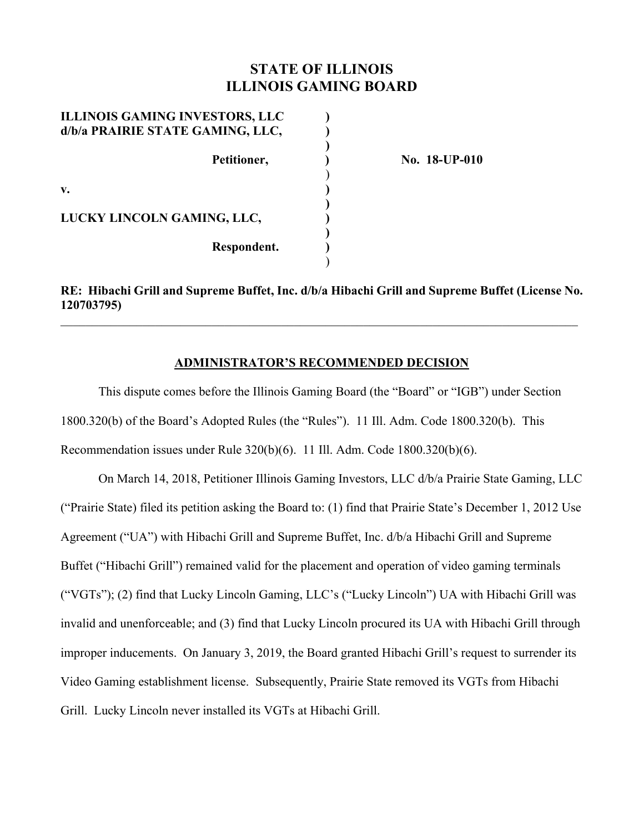# **STATE OF ILLINOIS ILLINOIS GAMING BOARD**

| <b>ILLINOIS GAMING INVESTORS, LLC</b><br>d/b/a PRAIRIE STATE GAMING, LLC, |  |
|---------------------------------------------------------------------------|--|
| Petitioner,                                                               |  |
| v.                                                                        |  |
| LUCKY LINCOLN GAMING, LLC,                                                |  |
| Respondent.                                                               |  |

**No. 18-UP-010** 

**RE: Hibachi Grill and Supreme Buffet, Inc. d/b/a Hibachi Grill and Supreme Buffet (License No. 120703795)** 

 $\_$  , and the contribution of the contribution of the contribution of the contribution of  $\mathcal{L}_\text{max}$ 

#### **ADMINISTRATOR'S RECOMMENDED DECISION**

This dispute comes before the Illinois Gaming Board (the "Board" or "IGB") under Section 1800.320(b) of the Board's Adopted Rules (the "Rules"). 11 Ill. Adm. Code 1800.320(b). This Recommendation issues under Rule 320(b)(6). 11 Ill. Adm. Code 1800.320(b)(6).

On March 14, 2018, Petitioner Illinois Gaming Investors, LLC d/b/a Prairie State Gaming, LLC ("Prairie State) filed its petition asking the Board to: (1) find that Prairie State's December 1, 2012 Use Agreement ("UA") with Hibachi Grill and Supreme Buffet, Inc. d/b/a Hibachi Grill and Supreme Buffet ("Hibachi Grill") remained valid for the placement and operation of video gaming terminals ("VGTs"); (2) find that Lucky Lincoln Gaming, LLC's ("Lucky Lincoln") UA with Hibachi Grill was invalid and unenforceable; and (3) find that Lucky Lincoln procured its UA with Hibachi Grill through improper inducements. On January 3, 2019, the Board granted Hibachi Grill's request to surrender its Video Gaming establishment license. Subsequently, Prairie State removed its VGTs from Hibachi Grill. Lucky Lincoln never installed its VGTs at Hibachi Grill.